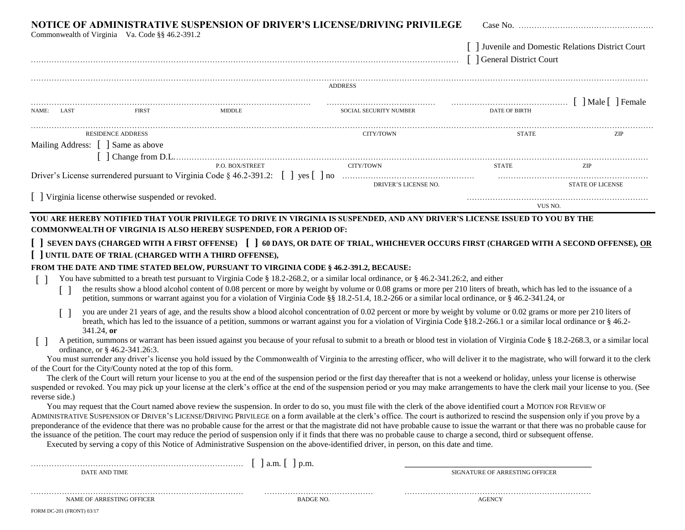|                                                  | Commonwealth of Virginia Va. Code §§ 46.2-391.2                 | NOTICE OF ADMINISTRATIVE SUSPENSION OF DRIVER'S LICENSE/DRIVING PRIVILEGE                                                                                                                                                                                                                                                                                                                                                                                                                                                                                      |                |                        | [ ] General District Court                  | Juvenile and Domestic Relations District Court |  |
|--------------------------------------------------|-----------------------------------------------------------------|----------------------------------------------------------------------------------------------------------------------------------------------------------------------------------------------------------------------------------------------------------------------------------------------------------------------------------------------------------------------------------------------------------------------------------------------------------------------------------------------------------------------------------------------------------------|----------------|------------------------|---------------------------------------------|------------------------------------------------|--|
|                                                  |                                                                 |                                                                                                                                                                                                                                                                                                                                                                                                                                                                                                                                                                | <b>ADDRESS</b> |                        |                                             |                                                |  |
| NAME: LAST                                       | <b>FIRST</b>                                                    | MIDDLE                                                                                                                                                                                                                                                                                                                                                                                                                                                                                                                                                         |                | SOCIAL SECURITY NUMBER | [ ] Male [ ] Female<br><b>DATE OF BIRTH</b> |                                                |  |
|                                                  | RESIDENCE ADDRESS                                               |                                                                                                                                                                                                                                                                                                                                                                                                                                                                                                                                                                |                | CITY/TOWN              | <b>STATE</b>                                | ZIP                                            |  |
| Mailing Address: [ ] Same as above               |                                                                 |                                                                                                                                                                                                                                                                                                                                                                                                                                                                                                                                                                |                |                        |                                             |                                                |  |
|                                                  |                                                                 | $\lceil$ $\rceil$ Change from D.L.                                                                                                                                                                                                                                                                                                                                                                                                                                                                                                                             |                |                        |                                             |                                                |  |
|                                                  |                                                                 | P.O. BOX/STREET                                                                                                                                                                                                                                                                                                                                                                                                                                                                                                                                                | CITY/TOWN      |                        | <b>STATE</b>                                | ZIP                                            |  |
|                                                  |                                                                 |                                                                                                                                                                                                                                                                                                                                                                                                                                                                                                                                                                |                | DRIVER'S LICENSE NO.   |                                             | STATE OF LICENSE                               |  |
| Virginia license otherwise suspended or revoked. |                                                                 |                                                                                                                                                                                                                                                                                                                                                                                                                                                                                                                                                                |                |                        | VUS NO.                                     |                                                |  |
| $\perp$                                          |                                                                 | You have submitted to a breath test pursuant to Virginia Code § 18.2-268.2, or a similar local ordinance, or § 46.2-341.26:2, and either<br>the results show a blood alcohol content of 0.08 percent or more by weight by volume or 0.08 grams or more per 210 liters of breath, which has led to the issuance of a<br>petition, summons or warrant against you for a violation of Virginia Code §§ 18.2-51.4, 18.2-266 or a similar local ordinance, or § 46.2-341.24, or                                                                                     |                |                        |                                             |                                                |  |
|                                                  |                                                                 | you are under 21 years of age, and the results show a blood alcohol concentration of 0.02 percent or more by weight by volume or 0.02 grams or more per 210 liters of                                                                                                                                                                                                                                                                                                                                                                                          |                |                        |                                             |                                                |  |
| $341.24$ , or<br>$\lceil$ $\rceil$               |                                                                 | breath, which has led to the issuance of a petition, summons or warrant against you for a violation of Virginia Code §18.2-266.1 or a similar local ordinance or § 46.2-<br>A petition, summons or warrant has been issued against you because of your refusal to submit to a breath or blood test in violation of Virginia Code § 18.2-268.3, or a similar local                                                                                                                                                                                              |                |                        |                                             |                                                |  |
|                                                  | ordinance, or § 46.2-341.26:3.                                  | You must surrender any driver's license you hold issued by the Commonwealth of Virginia to the arresting officer, who will deliver it to the magistrate, who will forward it to the clerk                                                                                                                                                                                                                                                                                                                                                                      |                |                        |                                             |                                                |  |
|                                                  | of the Court for the City/County noted at the top of this form. | The clerk of the Court will return your license to you at the end of the suspension period or the first day thereafter that is not a weekend or holiday, unless your license is otherwise                                                                                                                                                                                                                                                                                                                                                                      |                |                        |                                             |                                                |  |
| reverse side.)                                   |                                                                 | suspended or revoked. You may pick up your license at the clerk's office at the end of the suspension period or you may make arrangements to have the clerk mail your license to you. (See                                                                                                                                                                                                                                                                                                                                                                     |                |                        |                                             |                                                |  |
|                                                  |                                                                 | You may request that the Court named above review the suspension. In order to do so, you must file with the clerk of the above identified court a MOTION FOR REVIEW OF<br>ADMINISTRATIVE SUSPENSION OF DRIVER'S LICENSE/DRIVING PRIVILEGE on a form available at the clerk's office. The court is authorized to rescind the suspension only if you prove by a<br>preponderance of the evidence that there was no probable cause for the arrest or that the magistrate did not have probable cause to issue the warrant or that there was no probable cause for |                |                        |                                             |                                                |  |
|                                                  |                                                                 | the issuance of the petition. The court may reduce the period of suspension only if it finds that there was no probable cause to charge a second, third or subsequent offense.<br>Executed by serving a copy of this Notice of Administrative Suspension on the above-identified driver, in person, on this date and time.                                                                                                                                                                                                                                     |                |                        |                                             |                                                |  |
| DATE AND TIME                                    |                                                                 |                                                                                                                                                                                                                                                                                                                                                                                                                                                                                                                                                                |                |                        | SIGNATURE OF ARRESTING OFFICER              |                                                |  |
|                                                  | NAME OF ARRESTING OFFICER                                       |                                                                                                                                                                                                                                                                                                                                                                                                                                                                                                                                                                | BADGE NO.      |                        | AGENCY                                      |                                                |  |